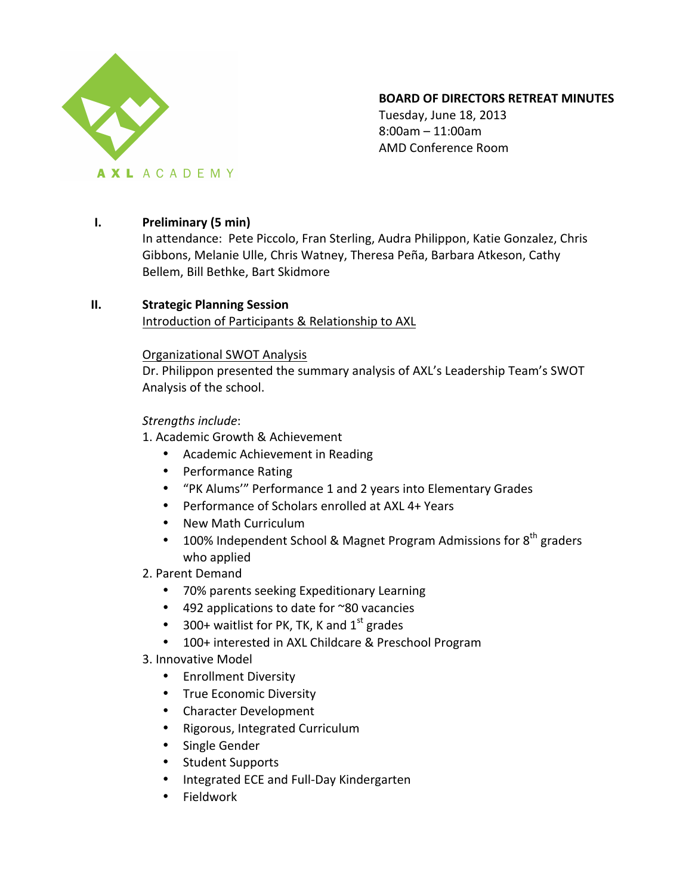

## **BOARD OF DIRECTORS RETREAT MINUTES**

Tuesday, June 18, 2013 8:00am – 11:00am AMD Conference Room

## **I. Preliminary (5 min)**

In attendance: Pete Piccolo, Fran Sterling, Audra Philippon, Katie Gonzalez, Chris Gibbons, Melanie Ulle, Chris Watney, Theresa Peña, Barbara Atkeson, Cathy Bellem, Bill Bethke, Bart Skidmore

# **II. Strategic Planning Session**

Introduction of Participants & Relationship to AXL

### Organizational SWOT Analysis

Dr. Philippon presented the summary analysis of AXL's Leadership Team's SWOT Analysis of the school.

## *Strengths include*:

1. Academic Growth & Achievement

- Academic Achievement in Reading
- Performance Rating
- "PK Alums'" Performance 1 and 2 years into Elementary Grades
- Performance of Scholars enrolled at AXL 4+ Years
- New Math Curriculum
- 100% Independent School & Magnet Program Admissions for  $8<sup>th</sup>$  graders who applied

## 2. Parent Demand

- 70% parents seeking Expeditionary Learning
- 492 applications to date for  $\approx$ 80 vacancies
- 300+ waitlist for PK, TK, K and  $1<sup>st</sup>$  grades
- 100+ interested in AXL Childcare & Preschool Program
- 3. Innovative Model
	- Enrollment Diversity
	- True Economic Diversity
	- Character Development
	- Rigorous, Integrated Curriculum
	- Single Gender
	- Student Supports
	- Integrated ECE and Full-Day Kindergarten
	- Fieldwork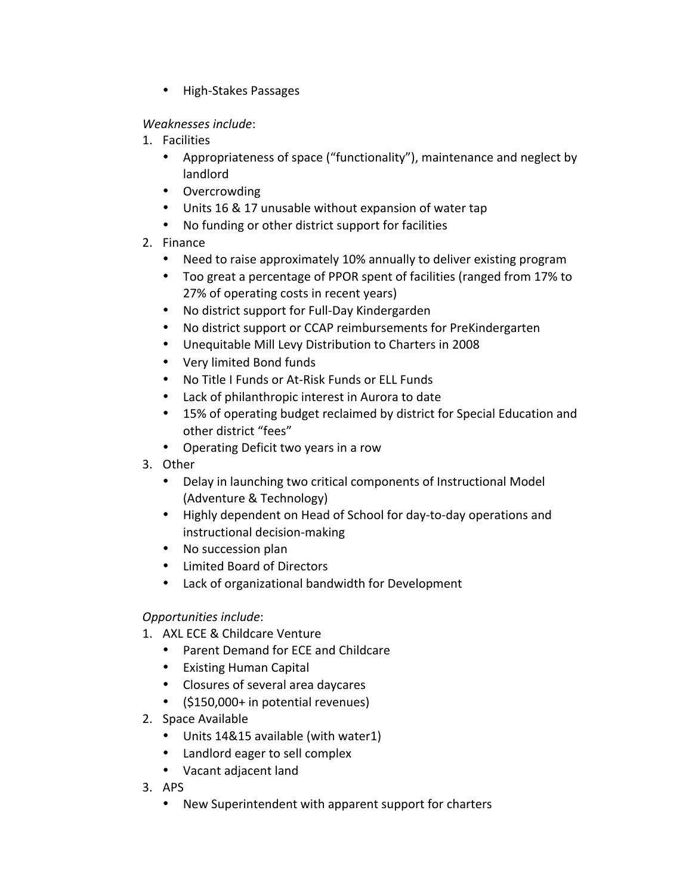• High-Stakes Passages

*Weaknesses include*:

- 1. Facilities
	- Appropriateness of space ("functionality"), maintenance and neglect by landlord
	- Overcrowding
	- Units 16 & 17 unusable without expansion of water tap
	- No funding or other district support for facilities
- 2. Finance
	- Need to raise approximately 10% annually to deliver existing program
	- Too great a percentage of PPOR spent of facilities (ranged from 17% to 27% of operating costs in recent years)
	- No district support for Full-Day Kindergarden
	- No district support or CCAP reimbursements for PreKindergarten
	- Unequitable Mill Levy Distribution to Charters in 2008
	- Very limited Bond funds
	- No Title I Funds or At-Risk Funds or ELL Funds
	- Lack of philanthropic interest in Aurora to date
	- 15% of operating budget reclaimed by district for Special Education and other district "fees"
	- Operating Deficit two years in a row
- 3. Other
	- Delay in launching two critical components of Instructional Model (Adventure & Technology)
	- Highly dependent on Head of School for day-to-day operations and instructional decision-making
	- No succession plan
	- Limited Board of Directors
	- Lack of organizational bandwidth for Development

# *Opportunities include*:

- 1. AXL ECE & Childcare Venture
	- Parent Demand for ECE and Childcare
	- Existing Human Capital
	- Closures of several area daycares
	- (\$150,000+ in potential revenues)
- 2. Space Available
	- Units 14&15 available (with water1)
	- Landlord eager to sell complex
	- Vacant adjacent land
- 3. APS
	- New Superintendent with apparent support for charters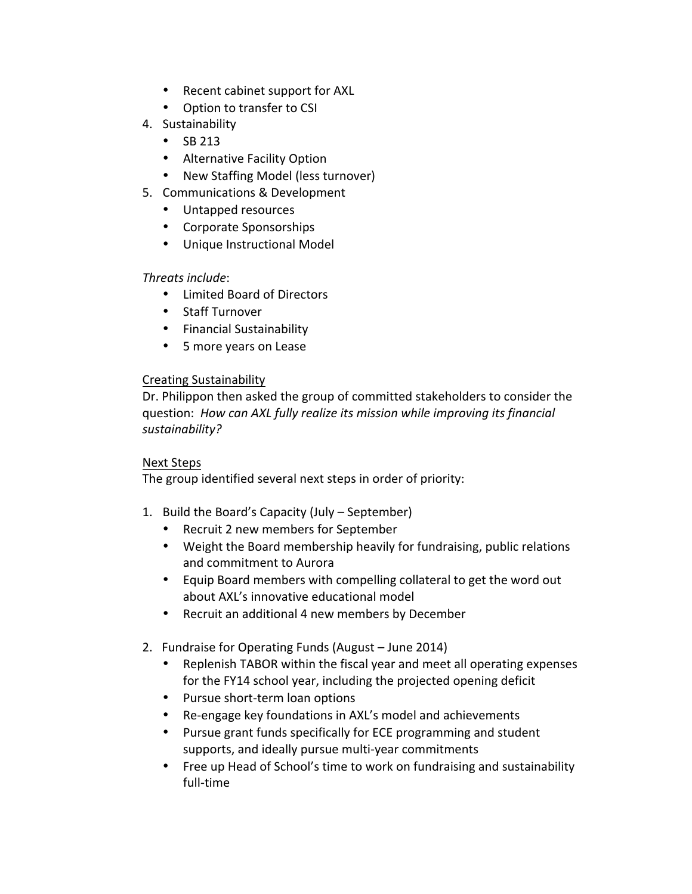- Recent cabinet support for AXL
- Option to transfer to CSI
- 4. Sustainability
	- $\cdot$  SB 213
	- Alternative Facility Option
	- New Staffing Model (less turnover)
- 5. Communications & Development
	- Untapped resources
	- Corporate Sponsorships
	- Unique Instructional Model

## *Threats include*:

- Limited Board of Directors
- Staff Turnover
- Financial Sustainability
- 5 more years on Lease

### Creating Sustainability

Dr. Philippon then asked the group of committed stakeholders to consider the question: How can AXL fully realize its mission while improving its financial *sustainability?*

#### Next Steps

The group identified several next steps in order of priority:

- 1. Build the Board's Capacity (July  $-$  September)
	- Recruit 2 new members for September
	- Weight the Board membership heavily for fundraising, public relations and commitment to Aurora
	- Equip Board members with compelling collateral to get the word out about AXL's innovative educational model
	- Recruit an additional 4 new members by December
- 2. Fundraise for Operating Funds (August June 2014)
	- Replenish TABOR within the fiscal year and meet all operating expenses for the FY14 school year, including the projected opening deficit
	- Pursue short-term loan options
	- Re-engage key foundations in AXL's model and achievements
	- Pursue grant funds specifically for ECE programming and student supports, and ideally pursue multi-year commitments
	- Free up Head of School's time to work on fundraising and sustainability full-time